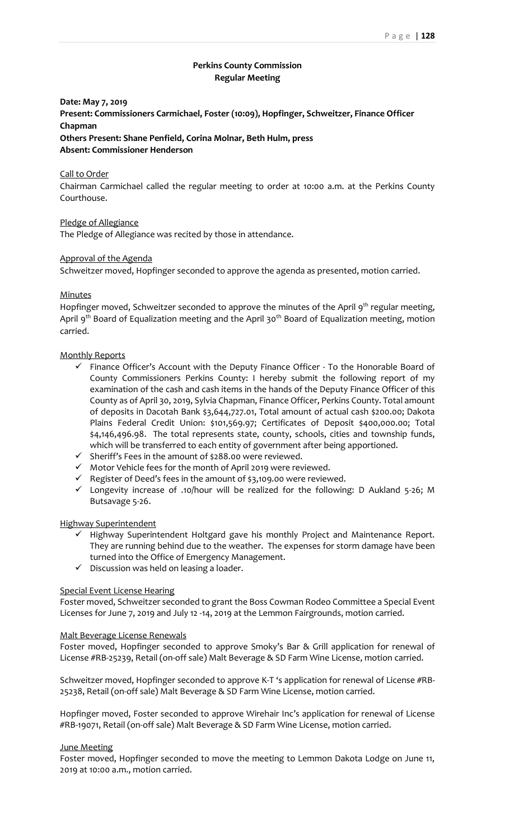# **Perkins County Commission Regular Meeting**

**Date: May 7, 2019**

**Present: Commissioners Carmichael, Foster (10:09), Hopfinger, Schweitzer, Finance Officer Chapman**

**Others Present: Shane Penfield, Corina Molnar, Beth Hulm, press Absent: Commissioner Henderson**

## Call to Order

Chairman Carmichael called the regular meeting to order at 10:00 a.m. at the Perkins County Courthouse.

Pledge of Allegiance

The Pledge of Allegiance was recited by those in attendance.

## Approval of the Agenda

Schweitzer moved, Hopfinger seconded to approve the agenda as presented, motion carried.

## **Minutes**

Hopfinger moved, Schweitzer seconded to approve the minutes of the April 9<sup>th</sup> regular meeting, April 9<sup>th</sup> Board of Equalization meeting and the April 30<sup>th</sup> Board of Equalization meeting, motion carried.

## Monthly Reports

- ✓ Finance Officer's Account with the Deputy Finance Officer To the Honorable Board of County Commissioners Perkins County: I hereby submit the following report of my examination of the cash and cash items in the hands of the Deputy Finance Officer of this County as of April 30, 2019, Sylvia Chapman, Finance Officer, Perkins County. Total amount of deposits in Dacotah Bank \$3,644,727.01, Total amount of actual cash \$200.00; Dakota Plains Federal Credit Union: \$101,569.97; Certificates of Deposit \$400,000.00; Total \$4,146,496.98. The total represents state, county, schools, cities and township funds, which will be transferred to each entity of government after being apportioned.
- ✓ Sheriff's Fees in the amount of \$288.00 were reviewed.
- ✓ Motor Vehicle fees for the month of April 2019 were reviewed.
- ✓ Register of Deed's fees in the amount of \$3,109.00 were reviewed.
- ✓ Longevity increase of .10/hour will be realized for the following: D Aukland 5-26; M Butsavage 5-26.

## Highway Superintendent

- ✓ Highway Superintendent Holtgard gave his monthly Project and Maintenance Report. They are running behind due to the weather. The expenses for storm damage have been turned into the Office of Emergency Management.
- $\checkmark$  Discussion was held on leasing a loader.

# Special Event License Hearing

Foster moved, Schweitzer seconded to grant the Boss Cowman Rodeo Committee a Special Event Licenses for June 7, 2019 and July 12 -14, 2019 at the Lemmon Fairgrounds, motion carried.

## Malt Beverage License Renewals

Foster moved, Hopfinger seconded to approve Smoky's Bar & Grill application for renewal of License #RB-25239, Retail (on-off sale) Malt Beverage & SD Farm Wine License, motion carried.

Schweitzer moved, Hopfinger seconded to approve K-T 's application for renewal of License #RB-25238, Retail (on-off sale) Malt Beverage & SD Farm Wine License, motion carried.

Hopfinger moved, Foster seconded to approve Wirehair Inc's application for renewal of License #RB-19071, Retail (on-off sale) Malt Beverage & SD Farm Wine License, motion carried.

## June Meeting

Foster moved, Hopfinger seconded to move the meeting to Lemmon Dakota Lodge on June 11, 2019 at 10:00 a.m., motion carried.